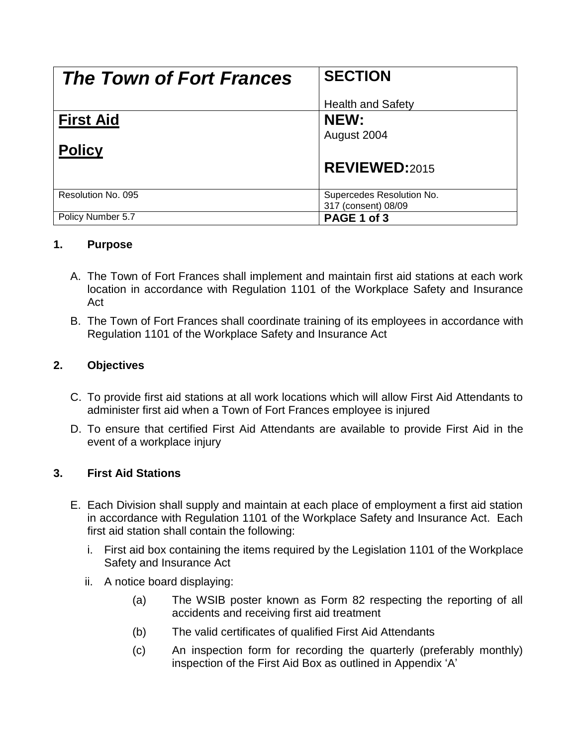| <b>The Town of Fort Frances</b> | <b>SECTION</b>                                   |
|---------------------------------|--------------------------------------------------|
|                                 | <b>Health and Safety</b>                         |
| <b>First Aid</b>                | NEW:                                             |
|                                 | August 2004                                      |
| <b>Policy</b>                   |                                                  |
|                                 | <b>REVIEWED:2015</b>                             |
| Resolution No. 095              | Supercedes Resolution No.<br>317 (consent) 08/09 |
| Policy Number 5.7               | PAGE 1 of 3                                      |

#### **1. Purpose**

- A. The Town of Fort Frances shall implement and maintain first aid stations at each work location in accordance with Regulation 1101 of the Workplace Safety and Insurance Act
- B. The Town of Fort Frances shall coordinate training of its employees in accordance with Regulation 1101 of the Workplace Safety and Insurance Act

## **2. Objectives**

- C. To provide first aid stations at all work locations which will allow First Aid Attendants to administer first aid when a Town of Fort Frances employee is injured
- D. To ensure that certified First Aid Attendants are available to provide First Aid in the event of a workplace injury

## **3. First Aid Stations**

- E. Each Division shall supply and maintain at each place of employment a first aid station in accordance with Regulation 1101 of the Workplace Safety and Insurance Act. Each first aid station shall contain the following:
	- i. First aid box containing the items required by the Legislation 1101 of the Workplace Safety and Insurance Act
	- ii. A notice board displaying:
		- (a) The WSIB poster known as Form 82 respecting the reporting of all accidents and receiving first aid treatment
		- (b) The valid certificates of qualified First Aid Attendants
		- (c) An inspection form for recording the quarterly (preferably monthly) inspection of the First Aid Box as outlined in Appendix 'A'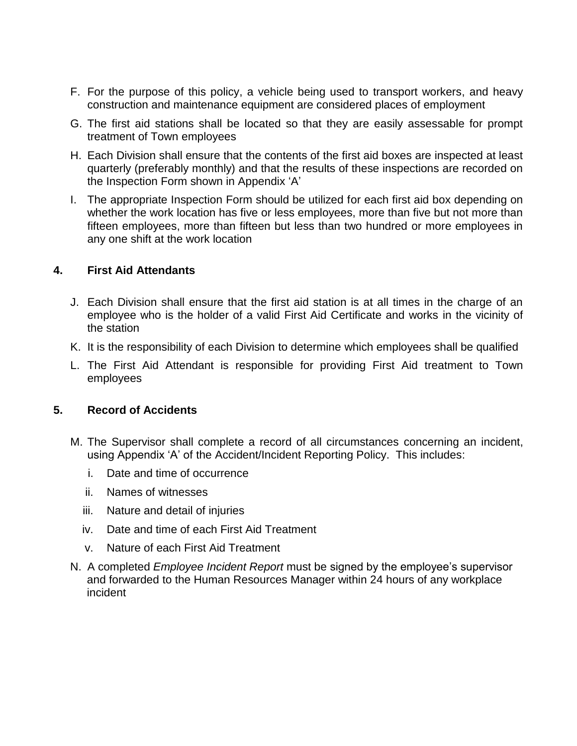- F. For the purpose of this policy, a vehicle being used to transport workers, and heavy construction and maintenance equipment are considered places of employment
- G. The first aid stations shall be located so that they are easily assessable for prompt treatment of Town employees
- H. Each Division shall ensure that the contents of the first aid boxes are inspected at least quarterly (preferably monthly) and that the results of these inspections are recorded on the Inspection Form shown in Appendix 'A'
- I. The appropriate Inspection Form should be utilized for each first aid box depending on whether the work location has five or less employees, more than five but not more than fifteen employees, more than fifteen but less than two hundred or more employees in any one shift at the work location

#### **4. First Aid Attendants**

- J. Each Division shall ensure that the first aid station is at all times in the charge of an employee who is the holder of a valid First Aid Certificate and works in the vicinity of the station
- K. It is the responsibility of each Division to determine which employees shall be qualified
- L. The First Aid Attendant is responsible for providing First Aid treatment to Town employees

#### **5. Record of Accidents**

- M. The Supervisor shall complete a record of all circumstances concerning an incident, using Appendix 'A' of the Accident/Incident Reporting Policy. This includes:
	- i. Date and time of occurrence
	- ii. Names of witnesses
	- iii. Nature and detail of injuries
	- iv. Date and time of each First Aid Treatment
	- v. Nature of each First Aid Treatment
- N. A completed *Employee Incident Report* must be signed by the employee's supervisor and forwarded to the Human Resources Manager within 24 hours of any workplace incident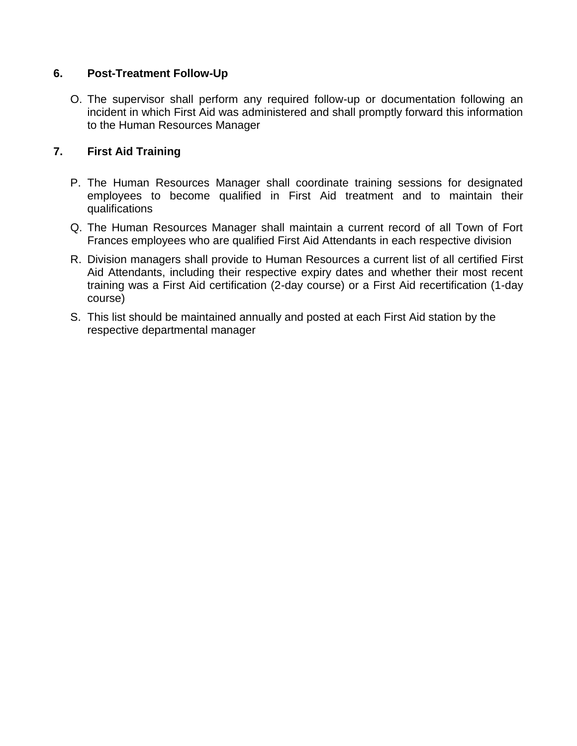#### **6. Post-Treatment Follow-Up**

O. The supervisor shall perform any required follow-up or documentation following an incident in which First Aid was administered and shall promptly forward this information to the Human Resources Manager

## **7. First Aid Training**

- P. The Human Resources Manager shall coordinate training sessions for designated employees to become qualified in First Aid treatment and to maintain their qualifications
- Q. The Human Resources Manager shall maintain a current record of all Town of Fort Frances employees who are qualified First Aid Attendants in each respective division
- R. Division managers shall provide to Human Resources a current list of all certified First Aid Attendants, including their respective expiry dates and whether their most recent training was a First Aid certification (2-day course) or a First Aid recertification (1-day course)
- S. This list should be maintained annually and posted at each First Aid station by the respective departmental manager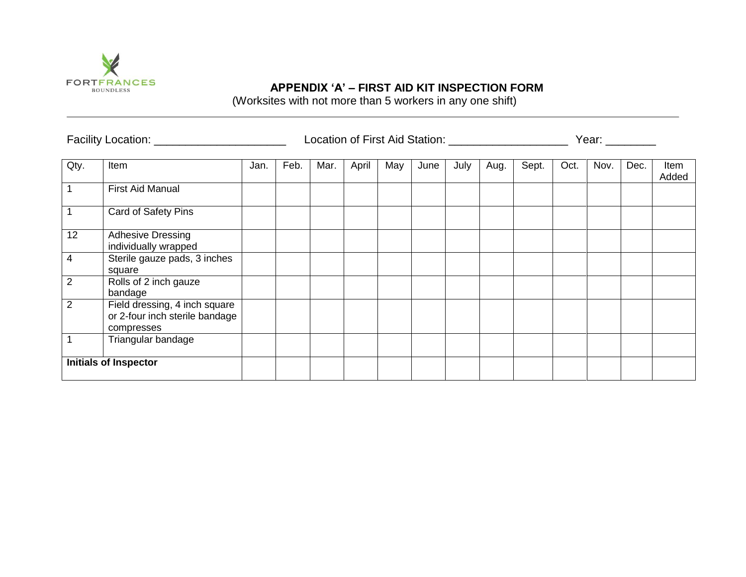

# **APPENDIX 'A' – FIRST AID KIT INSPECTION FORM**

(Worksites with not more than 5 workers in any one shift)

| Facility Location: _________________________ |                                                                               |      |      |      |       |     |      | Location of First Aid Station: ________________________ | Year: $\_\_$ |       |      |      |      |               |
|----------------------------------------------|-------------------------------------------------------------------------------|------|------|------|-------|-----|------|---------------------------------------------------------|--------------|-------|------|------|------|---------------|
| Qty.                                         | Item                                                                          | Jan. | Feb. | Mar. | April | May | June | July                                                    | Aug.         | Sept. | Oct. | Nov. | Dec. | Item<br>Added |
| $\mathbf{1}$                                 | <b>First Aid Manual</b>                                                       |      |      |      |       |     |      |                                                         |              |       |      |      |      |               |
| $\mathbf{1}$                                 | Card of Safety Pins                                                           |      |      |      |       |     |      |                                                         |              |       |      |      |      |               |
| 12                                           | <b>Adhesive Dressing</b><br>individually wrapped                              |      |      |      |       |     |      |                                                         |              |       |      |      |      |               |
| $\overline{4}$                               | Sterile gauze pads, 3 inches<br>square                                        |      |      |      |       |     |      |                                                         |              |       |      |      |      |               |
| $\overline{2}$                               | Rolls of 2 inch gauze<br>bandage                                              |      |      |      |       |     |      |                                                         |              |       |      |      |      |               |
| 2                                            | Field dressing, 4 inch square<br>or 2-four inch sterile bandage<br>compresses |      |      |      |       |     |      |                                                         |              |       |      |      |      |               |
|                                              | Triangular bandage                                                            |      |      |      |       |     |      |                                                         |              |       |      |      |      |               |
|                                              | <b>Initials of Inspector</b>                                                  |      |      |      |       |     |      |                                                         |              |       |      |      |      |               |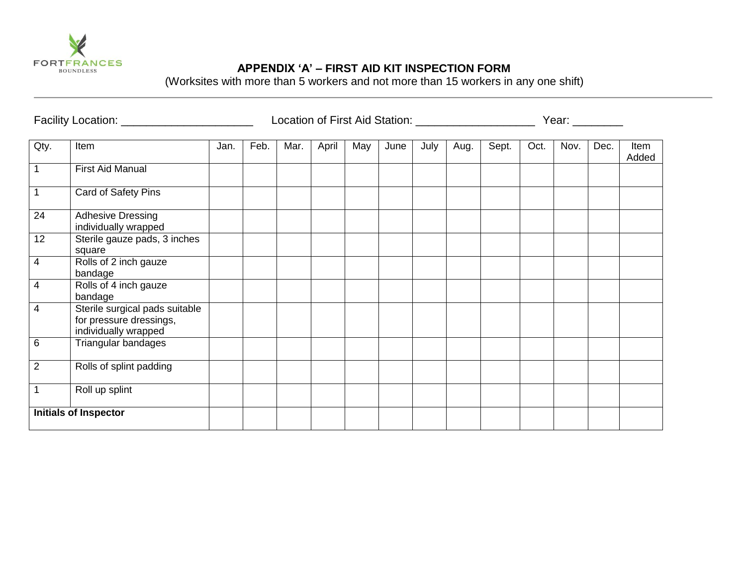

## **APPENDIX 'A' – FIRST AID KIT INSPECTION FORM**

(Worksites with more than 5 workers and not more than 15 workers in any one shift)

|                         | Facility Location: _______________________                                        |      |      |      |       |     |      | Year: ________ |      |       |      |      |      |               |
|-------------------------|-----------------------------------------------------------------------------------|------|------|------|-------|-----|------|----------------|------|-------|------|------|------|---------------|
| Qty.                    | Item                                                                              | Jan. | Feb. | Mar. | April | May | June | July           | Aug. | Sept. | Oct. | Nov. | Dec. | Item<br>Added |
| $\mathbf 1$             | <b>First Aid Manual</b>                                                           |      |      |      |       |     |      |                |      |       |      |      |      |               |
| $\mathbf{1}$            | Card of Safety Pins                                                               |      |      |      |       |     |      |                |      |       |      |      |      |               |
| 24                      | <b>Adhesive Dressing</b><br>individually wrapped                                  |      |      |      |       |     |      |                |      |       |      |      |      |               |
| 12                      | Sterile gauze pads, 3 inches<br>square                                            |      |      |      |       |     |      |                |      |       |      |      |      |               |
| $\overline{\mathbf{4}}$ | Rolls of 2 inch gauze<br>bandage                                                  |      |      |      |       |     |      |                |      |       |      |      |      |               |
| 4                       | Rolls of 4 inch gauze<br>bandage                                                  |      |      |      |       |     |      |                |      |       |      |      |      |               |
| $\overline{4}$          | Sterile surgical pads suitable<br>for pressure dressings,<br>individually wrapped |      |      |      |       |     |      |                |      |       |      |      |      |               |
| 6                       | Triangular bandages                                                               |      |      |      |       |     |      |                |      |       |      |      |      |               |
| $\overline{2}$          | Rolls of splint padding                                                           |      |      |      |       |     |      |                |      |       |      |      |      |               |
| 1                       | Roll up splint                                                                    |      |      |      |       |     |      |                |      |       |      |      |      |               |
|                         | <b>Initials of Inspector</b>                                                      |      |      |      |       |     |      |                |      |       |      |      |      |               |